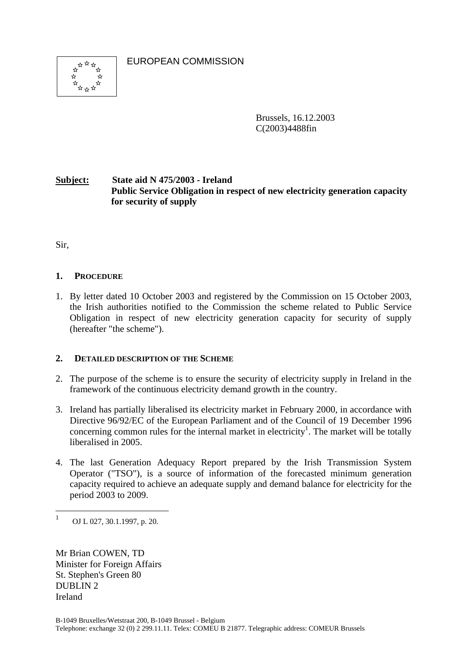EUROPEAN COMMISSION



Brussels, 16.12.2003 C(2003)4488fin

# **Subject: State aid N 475/2003 - Ireland Public Service Obligation in respect of new electricity generation capacity for security of supply**

Sir,

## **1. PROCEDURE**

1. By letter dated 10 October 2003 and registered by the Commission on 15 October 2003, the Irish authorities notified to the Commission the scheme related to Public Service Obligation in respect of new electricity generation capacity for security of supply (hereafter "the scheme").

## **2. DETAILED DESCRIPTION OF THE SCHEME**

- 2. The purpose of the scheme is to ensure the security of electricity supply in Ireland in the framework of the continuous electricity demand growth in the country.
- 3. Ireland has partially liberalised its electricity market in February 2000, in accordance with Directive 96/92/EC of the European Parliament and of the Council of 19 December 1996 concerning common rules for the internal market in electricity<sup>1</sup>. The market will be totally liberalised in 2005.
- 4. The last Generation Adequacy Report prepared by the Irish Transmission System Operator ("TSO"), is a source of information of the forecasted minimum generation capacity required to achieve an adequate supply and demand balance for electricity for the period 2003 to 2009.

 $\overline{a}$ 

Mr Brian COWEN, TD Minister for Foreign Affairs St. Stephen's Green 80 DUBLIN 2 Ireland

<sup>1</sup> OJ L 027, 30.1.1997, p. 20.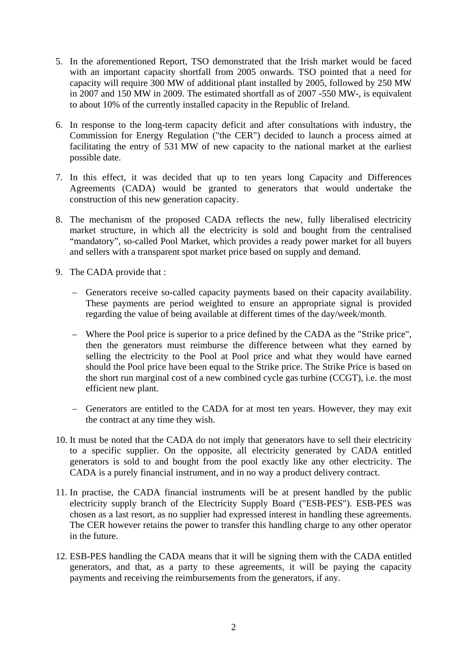- 5. In the aforementioned Report, TSO demonstrated that the Irish market would be faced with an important capacity shortfall from 2005 onwards. TSO pointed that a need for capacity will require 300 MW of additional plant installed by 2005, followed by 250 MW in 2007 and 150 MW in 2009. The estimated shortfall as of 2007 -550 MW-, is equivalent to about 10% of the currently installed capacity in the Republic of Ireland.
- 6. In response to the long-term capacity deficit and after consultations with industry, the Commission for Energy Regulation ("the CER") decided to launch a process aimed at facilitating the entry of 531 MW of new capacity to the national market at the earliest possible date.
- 7. In this effect, it was decided that up to ten years long Capacity and Differences Agreements (CADA) would be granted to generators that would undertake the construction of this new generation capacity.
- 8. The mechanism of the proposed CADA reflects the new, fully liberalised electricity market structure, in which all the electricity is sold and bought from the centralised "mandatory", so-called Pool Market, which provides a ready power market for all buyers and sellers with a transparent spot market price based on supply and demand.
- 9. The CADA provide that :
	- Generators receive so-called capacity payments based on their capacity availability. These payments are period weighted to ensure an appropriate signal is provided regarding the value of being available at different times of the day/week/month.
	- Where the Pool price is superior to a price defined by the CADA as the "Strike price", then the generators must reimburse the difference between what they earned by selling the electricity to the Pool at Pool price and what they would have earned should the Pool price have been equal to the Strike price. The Strike Price is based on the short run marginal cost of a new combined cycle gas turbine (CCGT), i.e. the most efficient new plant.
	- Generators are entitled to the CADA for at most ten years. However, they may exit the contract at any time they wish.
- 10. It must be noted that the CADA do not imply that generators have to sell their electricity to a specific supplier. On the opposite, all electricity generated by CADA entitled generators is sold to and bought from the pool exactly like any other electricity. The CADA is a purely financial instrument, and in no way a product delivery contract.
- 11. In practise, the CADA financial instruments will be at present handled by the public electricity supply branch of the Electricity Supply Board ("ESB-PES"). ESB-PES was chosen as a last resort, as no supplier had expressed interest in handling these agreements. The CER however retains the power to transfer this handling charge to any other operator in the future.
- 12. ESB-PES handling the CADA means that it will be signing them with the CADA entitled generators, and that, as a party to these agreements, it will be paying the capacity payments and receiving the reimbursements from the generators, if any.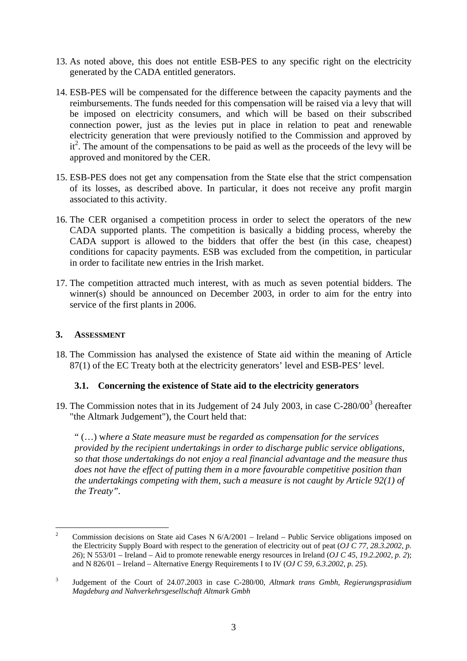- 13. As noted above, this does not entitle ESB-PES to any specific right on the electricity generated by the CADA entitled generators.
- 14. ESB-PES will be compensated for the difference between the capacity payments and the reimbursements. The funds needed for this compensation will be raised via a levy that will be imposed on electricity consumers, and which will be based on their subscribed connection power, just as the levies put in place in relation to peat and renewable electricity generation that were previously notified to the Commission and approved by it<sup>2</sup>. The amount of the compensations to be paid as well as the proceeds of the levy will be approved and monitored by the CER.
- 15. ESB-PES does not get any compensation from the State else that the strict compensation of its losses, as described above. In particular, it does not receive any profit margin associated to this activity.
- 16. The CER organised a competition process in order to select the operators of the new CADA supported plants. The competition is basically a bidding process, whereby the CADA support is allowed to the bidders that offer the best (in this case, cheapest) conditions for capacity payments. ESB was excluded from the competition, in particular in order to facilitate new entries in the Irish market.
- 17. The competition attracted much interest, with as much as seven potential bidders. The winner(s) should be announced on December 2003, in order to aim for the entry into service of the first plants in 2006.

### **3. ASSESSMENT**

18. The Commission has analysed the existence of State aid within the meaning of Article 87(1) of the EC Treaty both at the electricity generators' level and ESB-PES' level.

## **3.1. Concerning the existence of State aid to the electricity generators**

19. The Commission notes that in its Judgement of 24 July 2003, in case  $C-280/00^3$  (hereafter "the Altmark Judgement"), the Court held that:

" (…) w*here a State measure must be regarded as compensation for the services provided by the recipient undertakings in order to discharge public service obligations, so that those undertakings do not enjoy a real financial advantage and the measure thus does not have the effect of putting them in a more favourable competitive position than the undertakings competing with them, such a measure is not caught by Article 92(1) of the Treaty".* 

 $\frac{1}{2}$  Commission decisions on State aid Cases N 6/A/2001 – Ireland – Public Service obligations imposed on the Electricity Supply Board with respect to the generation of electricity out of peat (*OJ C 77, 28.3.2002, p. 26*); N 553/01 – Ireland – Aid to promote renewable energy resources in Ireland (*OJ C 45, 19.2.2002, p. 2*); and N 826/01 – Ireland – Alternative Energy Requirements I to IV (*OJ C 59, 6.3.2002, p. 25*).

<sup>3</sup> Judgement of the Court of 24.07.2003 in case C-280/00, *Altmark trans Gmbh, Regierungsprasidium Magdeburg and Nahverkehrsgesellschaft Altmark Gmbh*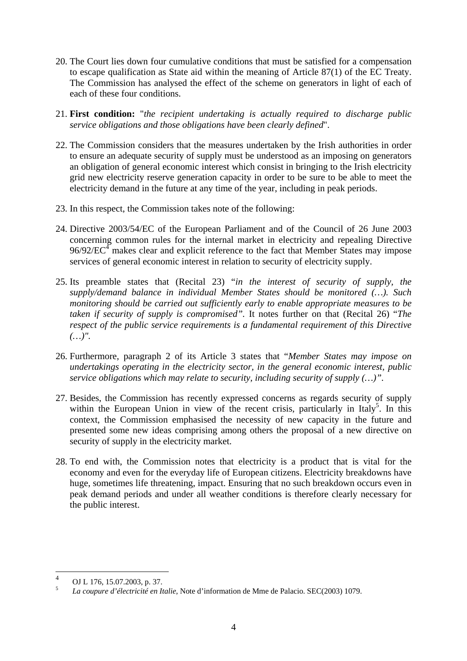- 20. The Court lies down four cumulative conditions that must be satisfied for a compensation to escape qualification as State aid within the meaning of Article 87(1) of the EC Treaty. The Commission has analysed the effect of the scheme on generators in light of each of each of these four conditions.
- 21. **First condition:** "*the recipient undertaking is actually required to discharge public service obligations and those obligations have been clearly defined*".
- 22. The Commission considers that the measures undertaken by the Irish authorities in order to ensure an adequate security of supply must be understood as an imposing on generators an obligation of general economic interest which consist in bringing to the Irish electricity grid new electricity reserve generation capacity in order to be sure to be able to meet the electricity demand in the future at any time of the year, including in peak periods.
- 23. In this respect, the Commission takes note of the following:
- 24. Directive 2003/54/EC of the European Parliament and of the Council of 26 June 2003 concerning common rules for the internal market in electricity and repealing Directive  $96/92/EC<sup>4</sup>$  makes clear and explicit reference to the fact that Member States may impose services of general economic interest in relation to security of electricity supply.
- 25. Its preamble states that (Recital 23) "*in the interest of security of supply, the supply/demand balance in individual Member States should be monitored (…). Such monitoring should be carried out sufficiently early to enable appropriate measures to be taken if security of supply is compromised".* It notes further on that (Recital 26) "*The respect of the public service requirements is a fundamental requirement of this Directive (…)".*
- 26. Furthermore, paragraph 2 of its Article 3 states that "*Member States may impose on undertakings operating in the electricity sector, in the general economic interest, public service obligations which may relate to security, including security of supply (…)".*
- 27. Besides, the Commission has recently expressed concerns as regards security of supply within the European Union in view of the recent crisis, particularly in Italy<sup>5</sup>. In this context, the Commission emphasised the necessity of new capacity in the future and presented some new ideas comprising among others the proposal of a new directive on security of supply in the electricity market.
- 28. To end with, the Commission notes that electricity is a product that is vital for the economy and even for the everyday life of European citizens. Electricity breakdowns have huge, sometimes life threatening, impact. Ensuring that no such breakdown occurs even in peak demand periods and under all weather conditions is therefore clearly necessary for the public interest.

 $\frac{1}{4}$ OJ L 176, 15.07.2003, p. 37.

<sup>5</sup> *La coupure d'électricité en Italie*, Note d'information de Mme de Palacio. SEC(2003) 1079.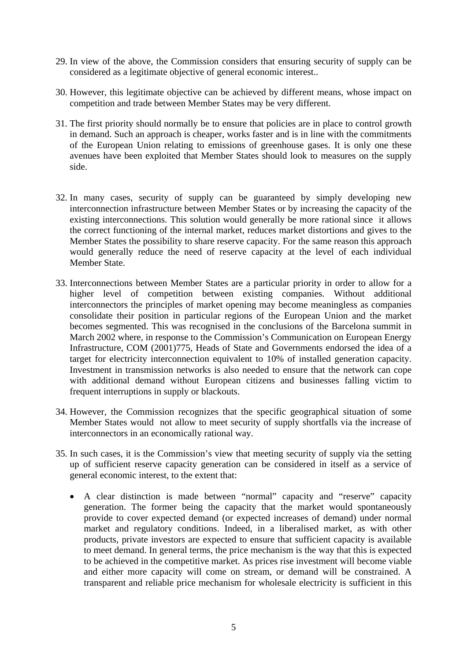- 29. In view of the above, the Commission considers that ensuring security of supply can be considered as a legitimate objective of general economic interest..
- 30. However, this legitimate objective can be achieved by different means, whose impact on competition and trade between Member States may be very different.
- 31. The first priority should normally be to ensure that policies are in place to control growth in demand. Such an approach is cheaper, works faster and is in line with the commitments of the European Union relating to emissions of greenhouse gases. It is only one these avenues have been exploited that Member States should look to measures on the supply side.
- 32. In many cases, security of supply can be guaranteed by simply developing new interconnection infrastructure between Member States or by increasing the capacity of the existing interconnections. This solution would generally be more rational since it allows the correct functioning of the internal market, reduces market distortions and gives to the Member States the possibility to share reserve capacity. For the same reason this approach would generally reduce the need of reserve capacity at the level of each individual Member State.
- 33. Interconnections between Member States are a particular priority in order to allow for a higher level of competition between existing companies. Without additional interconnectors the principles of market opening may become meaningless as companies consolidate their position in particular regions of the European Union and the market becomes segmented. This was recognised in the conclusions of the Barcelona summit in March 2002 where, in response to the Commission's Communication on European Energy Infrastructure, COM (2001)775, Heads of State and Governments endorsed the idea of a target for electricity interconnection equivalent to 10% of installed generation capacity. Investment in transmission networks is also needed to ensure that the network can cope with additional demand without European citizens and businesses falling victim to frequent interruptions in supply or blackouts.
- 34. However, the Commission recognizes that the specific geographical situation of some Member States would not allow to meet security of supply shortfalls via the increase of interconnectors in an economically rational way.
- 35. In such cases, it is the Commission's view that meeting security of supply via the setting up of sufficient reserve capacity generation can be considered in itself as a service of general economic interest, to the extent that:
	- A clear distinction is made between "normal" capacity and "reserve" capacity generation. The former being the capacity that the market would spontaneously provide to cover expected demand (or expected increases of demand) under normal market and regulatory conditions. Indeed, in a liberalised market, as with other products, private investors are expected to ensure that sufficient capacity is available to meet demand. In general terms, the price mechanism is the way that this is expected to be achieved in the competitive market. As prices rise investment will become viable and either more capacity will come on stream, or demand will be constrained. A transparent and reliable price mechanism for wholesale electricity is sufficient in this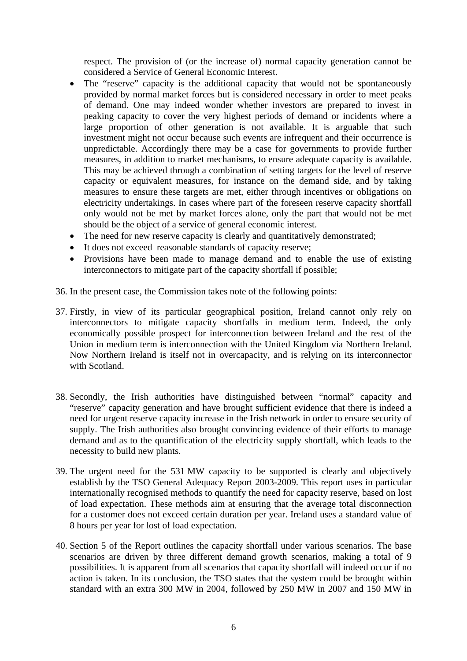respect. The provision of (or the increase of) normal capacity generation cannot be considered a Service of General Economic Interest.

- The "reserve" capacity is the additional capacity that would not be spontaneously provided by normal market forces but is considered necessary in order to meet peaks of demand. One may indeed wonder whether investors are prepared to invest in peaking capacity to cover the very highest periods of demand or incidents where a large proportion of other generation is not available. It is arguable that such investment might not occur because such events are infrequent and their occurrence is unpredictable. Accordingly there may be a case for governments to provide further measures, in addition to market mechanisms, to ensure adequate capacity is available. This may be achieved through a combination of setting targets for the level of reserve capacity or equivalent measures, for instance on the demand side, and by taking measures to ensure these targets are met, either through incentives or obligations on electricity undertakings. In cases where part of the foreseen reserve capacity shortfall only would not be met by market forces alone, only the part that would not be met should be the object of a service of general economic interest.
- The need for new reserve capacity is clearly and quantitatively demonstrated;
- It does not exceed reasonable standards of capacity reserve;
- Provisions have been made to manage demand and to enable the use of existing interconnectors to mitigate part of the capacity shortfall if possible;
- 36. In the present case, the Commission takes note of the following points:
- 37. Firstly, in view of its particular geographical position, Ireland cannot only rely on interconnectors to mitigate capacity shortfalls in medium term. Indeed, the only economically possible prospect for interconnection between Ireland and the rest of the Union in medium term is interconnection with the United Kingdom via Northern Ireland. Now Northern Ireland is itself not in overcapacity, and is relying on its interconnector with Scotland.
- 38. Secondly, the Irish authorities have distinguished between "normal" capacity and "reserve" capacity generation and have brought sufficient evidence that there is indeed a need for urgent reserve capacity increase in the Irish network in order to ensure security of supply. The Irish authorities also brought convincing evidence of their efforts to manage demand and as to the quantification of the electricity supply shortfall, which leads to the necessity to build new plants.
- 39. The urgent need for the 531 MW capacity to be supported is clearly and objectively establish by the TSO General Adequacy Report 2003-2009. This report uses in particular internationally recognised methods to quantify the need for capacity reserve, based on lost of load expectation. These methods aim at ensuring that the average total disconnection for a customer does not exceed certain duration per year. Ireland uses a standard value of 8 hours per year for lost of load expectation.
- 40. Section 5 of the Report outlines the capacity shortfall under various scenarios. The base scenarios are driven by three different demand growth scenarios, making a total of 9 possibilities. It is apparent from all scenarios that capacity shortfall will indeed occur if no action is taken. In its conclusion, the TSO states that the system could be brought within standard with an extra 300 MW in 2004, followed by 250 MW in 2007 and 150 MW in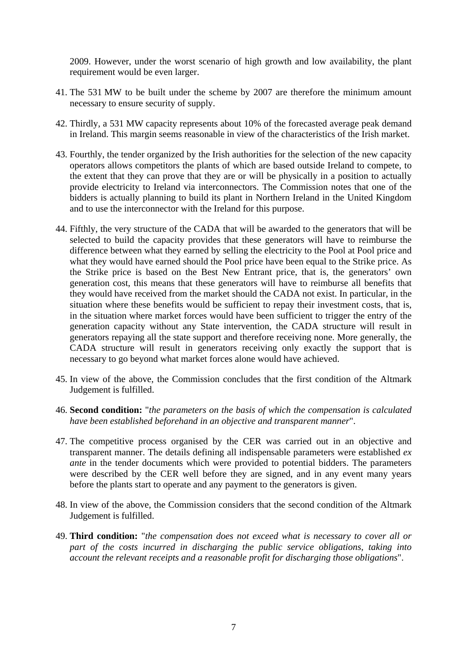2009. However, under the worst scenario of high growth and low availability, the plant requirement would be even larger.

- 41. The 531 MW to be built under the scheme by 2007 are therefore the minimum amount necessary to ensure security of supply.
- 42. Thirdly, a 531 MW capacity represents about 10% of the forecasted average peak demand in Ireland. This margin seems reasonable in view of the characteristics of the Irish market.
- 43. Fourthly, the tender organized by the Irish authorities for the selection of the new capacity operators allows competitors the plants of which are based outside Ireland to compete, to the extent that they can prove that they are or will be physically in a position to actually provide electricity to Ireland via interconnectors. The Commission notes that one of the bidders is actually planning to build its plant in Northern Ireland in the United Kingdom and to use the interconnector with the Ireland for this purpose.
- 44. Fifthly, the very structure of the CADA that will be awarded to the generators that will be selected to build the capacity provides that these generators will have to reimburse the difference between what they earned by selling the electricity to the Pool at Pool price and what they would have earned should the Pool price have been equal to the Strike price. As the Strike price is based on the Best New Entrant price, that is, the generators' own generation cost, this means that these generators will have to reimburse all benefits that they would have received from the market should the CADA not exist. In particular, in the situation where these benefits would be sufficient to repay their investment costs, that is, in the situation where market forces would have been sufficient to trigger the entry of the generation capacity without any State intervention, the CADA structure will result in generators repaying all the state support and therefore receiving none. More generally, the CADA structure will result in generators receiving only exactly the support that is necessary to go beyond what market forces alone would have achieved.
- 45. In view of the above, the Commission concludes that the first condition of the Altmark Judgement is fulfilled.
- 46. **Second condition:** "*the parameters on the basis of which the compensation is calculated have been established beforehand in an objective and transparent manner*".
- 47. The competitive process organised by the CER was carried out in an objective and transparent manner. The details defining all indispensable parameters were established *ex ante* in the tender documents which were provided to potential bidders. The parameters were described by the CER well before they are signed, and in any event many years before the plants start to operate and any payment to the generators is given.
- 48. In view of the above, the Commission considers that the second condition of the Altmark Judgement is fulfilled.
- 49. **Third condition:** "*the compensation does not exceed what is necessary to cover all or part of the costs incurred in discharging the public service obligations, taking into account the relevant receipts and a reasonable profit for discharging those obligations*".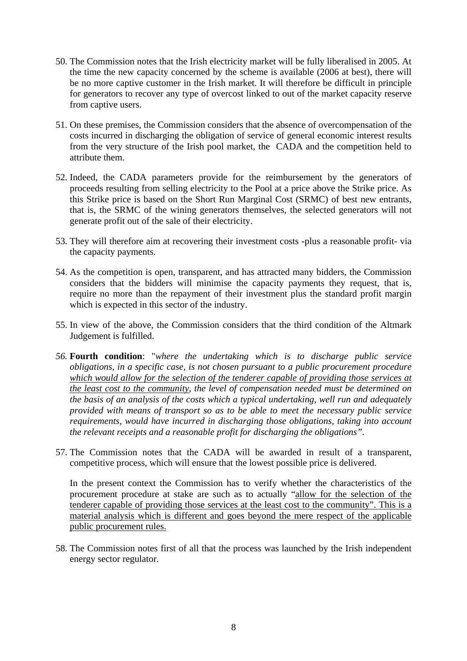- 50. The Commission notes that the Irish electricity market will be fully liberalised in 2005. At the time the new capacity concerned by the scheme is available (2006 at best), there will be no more captive customer in the Irish market. It will therefore be difficult in principle for generators to recover any type of overcost linked to out of the market capacity reserve from captive users.
- 51. On these premises, the Commission considers that the absence of overcompensation of the costs incurred in discharging the obligation of service of general economic interest results from the very structure of the Irish pool market, the CADA and the competition held to attribute them.
- 52. Indeed, the CADA parameters provide for the reimbursement by the generators of proceeds resulting from selling electricity to the Pool at a price above the Strike price. As this Strike price is based on the Short Run Marginal Cost (SRMC) of best new entrants, that is, the SRMC of the wining generators themselves, the selected generators will not generate profit out of the sale of their electricity.
- 53. They will therefore aim at recovering their investment costs -plus a reasonable profit- via the capacity payments.
- 54. As the competition is open, transparent, and has attracted many bidders, the Commission considers that the bidders will minimise the capacity payments they request, that is, require no more than the repayment of their investment plus the standard profit margin which is expected in this sector of the industry.
- 55. In view of the above, the Commission considers that the third condition of the Altmark Judgement is fulfilled.
- *56.* **Fourth condition**: "*where the undertaking which is to discharge public service obligations, in a specific case, is not chosen pursuant to a public procurement procedure which would allow for the selection of the tenderer capable of providing those services at the least cost to the community, the level of compensation needed must be determined on the basis of an analysis of the costs which a typical undertaking, well run and adequately provided with means of transport so as to be able to meet the necessary public service requirements, would have incurred in discharging those obligations, taking into account the relevant receipts and a reasonable profit for discharging the obligations".*
- 57. The Commission notes that the CADA will be awarded in result of a transparent, competitive process, which will ensure that the lowest possible price is delivered.

In the present context the Commission has to verify whether the characteristics of the procurement procedure at stake are such as to actually "allow for the selection of the tenderer capable of providing those services at the least cost to the community". This is a material analysis which is different and goes beyond the mere respect of the applicable public procurement rules.

58. The Commission notes first of all that the process was launched by the Irish independent energy sector regulator.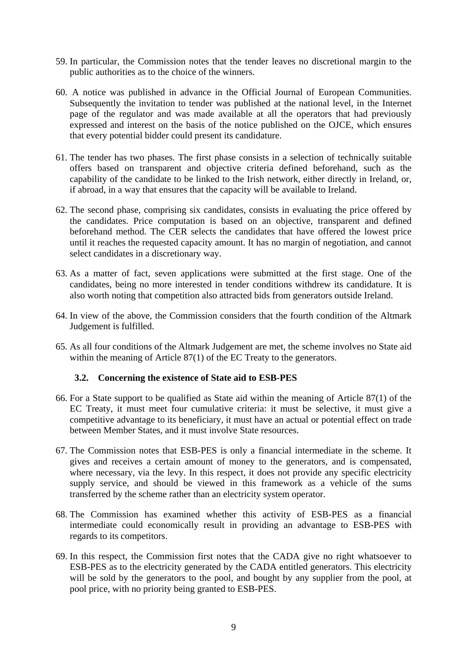- 59. In particular, the Commission notes that the tender leaves no discretional margin to the public authorities as to the choice of the winners.
- 60. A notice was published in advance in the Official Journal of European Communities. Subsequently the invitation to tender was published at the national level, in the Internet page of the regulator and was made available at all the operators that had previously expressed and interest on the basis of the notice published on the OJCE, which ensures that every potential bidder could present its candidature.
- 61. The tender has two phases. The first phase consists in a selection of technically suitable offers based on transparent and objective criteria defined beforehand, such as the capability of the candidate to be linked to the Irish network, either directly in Ireland, or, if abroad, in a way that ensures that the capacity will be available to Ireland.
- 62. The second phase, comprising six candidates, consists in evaluating the price offered by the candidates. Price computation is based on an objective, transparent and defined beforehand method. The CER selects the candidates that have offered the lowest price until it reaches the requested capacity amount. It has no margin of negotiation, and cannot select candidates in a discretionary way.
- 63. As a matter of fact, seven applications were submitted at the first stage. One of the candidates, being no more interested in tender conditions withdrew its candidature. It is also worth noting that competition also attracted bids from generators outside Ireland.
- 64. In view of the above, the Commission considers that the fourth condition of the Altmark Judgement is fulfilled.
- 65. As all four conditions of the Altmark Judgement are met, the scheme involves no State aid within the meaning of Article 87(1) of the EC Treaty to the generators.

#### **3.2. Concerning the existence of State aid to ESB-PES**

- 66. For a State support to be qualified as State aid within the meaning of Article 87(1) of the EC Treaty, it must meet four cumulative criteria: it must be selective, it must give a competitive advantage to its beneficiary, it must have an actual or potential effect on trade between Member States, and it must involve State resources.
- 67. The Commission notes that ESB-PES is only a financial intermediate in the scheme. It gives and receives a certain amount of money to the generators, and is compensated, where necessary, via the levy. In this respect, it does not provide any specific electricity supply service, and should be viewed in this framework as a vehicle of the sums transferred by the scheme rather than an electricity system operator.
- 68. The Commission has examined whether this activity of ESB-PES as a financial intermediate could economically result in providing an advantage to ESB-PES with regards to its competitors.
- 69. In this respect, the Commission first notes that the CADA give no right whatsoever to ESB-PES as to the electricity generated by the CADA entitled generators. This electricity will be sold by the generators to the pool, and bought by any supplier from the pool, at pool price, with no priority being granted to ESB-PES.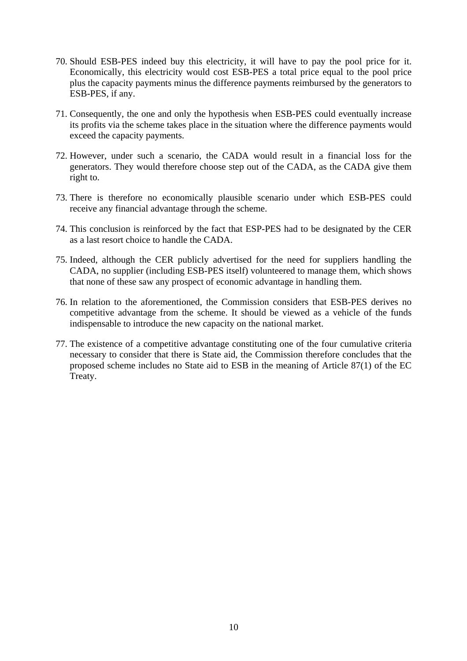- 70. Should ESB-PES indeed buy this electricity, it will have to pay the pool price for it. Economically, this electricity would cost ESB-PES a total price equal to the pool price plus the capacity payments minus the difference payments reimbursed by the generators to ESB-PES, if any.
- 71. Consequently, the one and only the hypothesis when ESB-PES could eventually increase its profits via the scheme takes place in the situation where the difference payments would exceed the capacity payments.
- 72. However, under such a scenario, the CADA would result in a financial loss for the generators. They would therefore choose step out of the CADA, as the CADA give them right to.
- 73. There is therefore no economically plausible scenario under which ESB-PES could receive any financial advantage through the scheme.
- 74. This conclusion is reinforced by the fact that ESP-PES had to be designated by the CER as a last resort choice to handle the CADA.
- 75. Indeed, although the CER publicly advertised for the need for suppliers handling the CADA, no supplier (including ESB-PES itself) volunteered to manage them, which shows that none of these saw any prospect of economic advantage in handling them.
- 76. In relation to the aforementioned, the Commission considers that ESB-PES derives no competitive advantage from the scheme. It should be viewed as a vehicle of the funds indispensable to introduce the new capacity on the national market.
- 77. The existence of a competitive advantage constituting one of the four cumulative criteria necessary to consider that there is State aid, the Commission therefore concludes that the proposed scheme includes no State aid to ESB in the meaning of Article 87(1) of the EC Treaty.